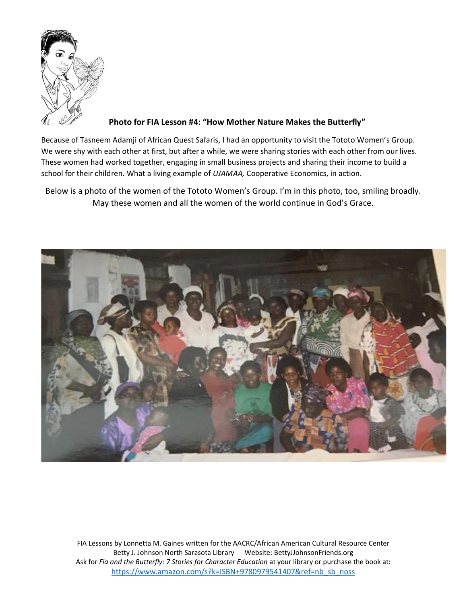

**Photo for FIA Lesson #4: "How Mother Nature Makes the Butterfly"**

Because of Tasneem Adamji of African Quest Safaris, I had an opportunity to visit the Tototo Women's Group. We were shy with each other at first, but after a while, we were sharing stories with each other from our lives. These women had worked together, engaging in small business projects and sharing their income to build a school for their children. What a living example of *UJAMAA,* Cooperative Economics, in action.

Below is a photo of the women of the Tototo Women's Group. I'm in this photo, too, smiling broadly. May these women and all the women of the world continue in God's Grace.

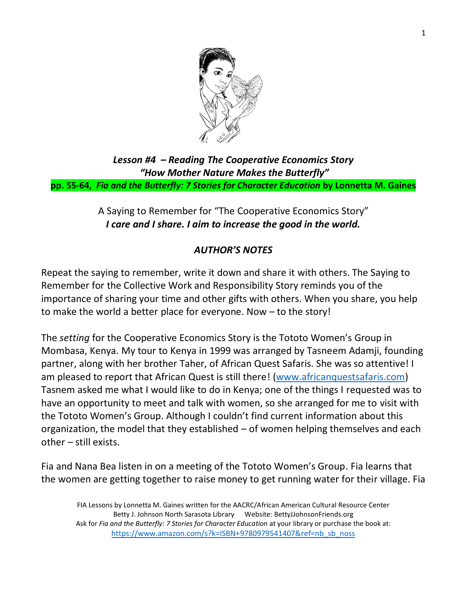

*Lesson #4 – Reading The Cooperative Economics Story "How Mother Nature Makes the Butterfly"* **pp. 55-64,** *Fia and the Butterfly: 7 Stories for Character Education* **by Lonnetta M. Gaines**

> A Saying to Remember for "The Cooperative Economics Story" *I care and I share. I aim to increase the good in the world.*

#### *AUTHOR'S NOTES*

Repeat the saying to remember, write it down and share it with others. The Saying to Remember for the Collective Work and Responsibility Story reminds you of the importance of sharing your time and other gifts with others. When you share, you help to make the world a better place for everyone. Now – to the story!

The *setting* for the Cooperative Economics Story is the Tototo Women's Group in Mombasa, Kenya. My tour to Kenya in 1999 was arranged by Tasneem Adamji, founding partner, along with her brother Taher, of African Quest Safaris. She was so attentive! I am pleased to report that African Quest is still there! [\(www.africanquestsafaris.com\)](http://www.africanquestsafaris.com/) Tasnem asked me what I would like to do in Kenya; one of the things I requested was to have an opportunity to meet and talk with women, so she arranged for me to visit with the Tototo Women's Group. Although I couldn't find current information about this organization, the model that they established – of women helping themselves and each other – still exists.

Fia and Nana Bea listen in on a meeting of the Tototo Women's Group. Fia learns that the women are getting together to raise money to get running water for their village. Fia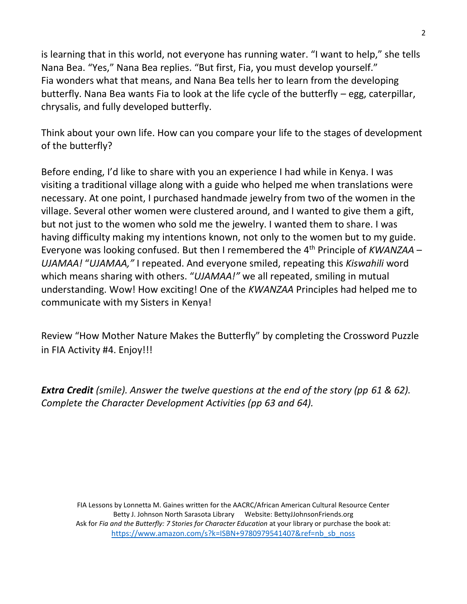is learning that in this world, not everyone has running water. "I want to help," she tells Nana Bea. "Yes," Nana Bea replies. "But first, Fia, you must develop yourself." Fia wonders what that means, and Nana Bea tells her to learn from the developing butterfly. Nana Bea wants Fia to look at the life cycle of the butterfly – egg, caterpillar, chrysalis, and fully developed butterfly.

Think about your own life. How can you compare your life to the stages of development of the butterfly?

Before ending, I'd like to share with you an experience I had while in Kenya. I was visiting a traditional village along with a guide who helped me when translations were necessary. At one point, I purchased handmade jewelry from two of the women in the village. Several other women were clustered around, and I wanted to give them a gift, but not just to the women who sold me the jewelry. I wanted them to share. I was having difficulty making my intentions known, not only to the women but to my guide. Everyone was looking confused. But then I remembered the 4th Principle of *KWANZAA* – *UJAMAA!* "*UJAMAA,"* I repeated. And everyone smiled, repeating this *Kiswahili* word which means sharing with others. "*UJAMAA!"* we all repeated, smiling in mutual understanding. Wow! How exciting! One of the *KWANZAA* Principles had helped me to communicate with my Sisters in Kenya!

Review "How Mother Nature Makes the Butterfly" by completing the Crossword Puzzle in FIA Activity #4. Enjoy!!!

*Extra Credit (smile). Answer the twelve questions at the end of the story (pp 61 & 62). Complete the Character Development Activities (pp 63 and 64).*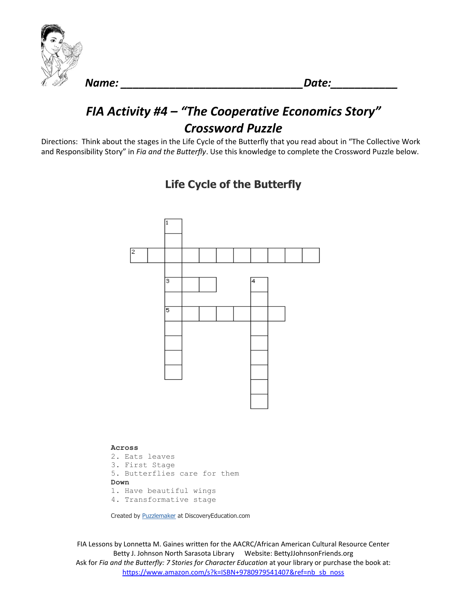

*Name: \_\_\_\_\_\_\_\_\_\_\_\_\_\_\_\_\_\_\_\_\_\_\_\_\_\_\_\_\_\_Date:\_\_\_\_\_\_\_\_\_\_\_*

## *FIA Activity #4 – "The Cooperative Economics Story" Crossword Puzzle*

Directions: Think about the stages in the Life Cycle of the Butterfly that you read about in "The Collective Work and Responsibility Story" in *Fia and the Butterfly*. Use this knowledge to complete the Crossword Puzzle below.



#### **Life Cycle of the Butterfly**

**Across** 2. Eats leaves 3. First Stage 5. Butterflies care for them **Down** 1. Have beautiful wings 4. Transformative stage

Created by [Puzzlemaker](http://puzzlemaker.discoveryeducation.com/) at DiscoveryEducation.com